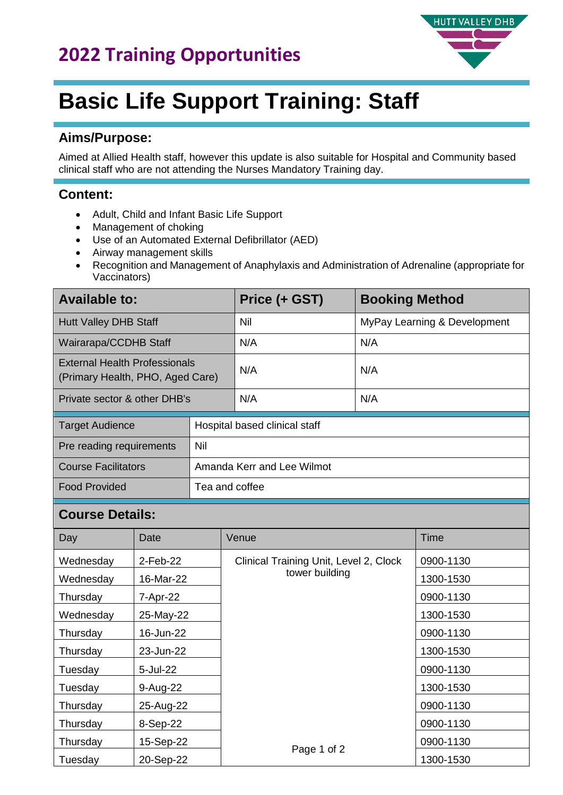

# **Basic Life Support Training: Staff**

### **Aims/Purpose:**

Aimed at Allied Health staff, however this update is also suitable for Hospital and Community based clinical staff who are not attending the Nurses Mandatory Training day.

## **Content:**

- Adult, Child and Infant Basic Life Support
- Management of choking
- Use of an Automated External Defibrillator (AED)
- Airway management skills
- Recognition and Management of Anaphylaxis and Administration of Adrenaline (appropriate for Vaccinators)

| <b>Available to:</b>                                                     |                               | Price (+ GST) | <b>Booking Method</b>        |
|--------------------------------------------------------------------------|-------------------------------|---------------|------------------------------|
| <b>Hutt Valley DHB Staff</b>                                             |                               | Nil           | MyPay Learning & Development |
| Wairarapa/CCDHB Staff                                                    |                               | N/A           | N/A                          |
| <b>External Health Professionals</b><br>(Primary Health, PHO, Aged Care) |                               | N/A           | N/A                          |
| Private sector & other DHB's                                             |                               | N/A           | N/A                          |
| <b>Target Audience</b>                                                   | Hospital based clinical staff |               |                              |
| Pre reading requirements                                                 | Nil                           |               |                              |
| <b>Course Facilitators</b>                                               | Amanda Kerr and Lee Wilmot    |               |                              |
| <b>Food Provided</b>                                                     | Tea and coffee                |               |                              |

#### **Course Details:**

| Day       | Date      | Venue                                  | Time      |
|-----------|-----------|----------------------------------------|-----------|
| Wednesday | 2-Feb-22  | Clinical Training Unit, Level 2, Clock | 0900-1130 |
| Wednesday | 16-Mar-22 | tower building                         | 1300-1530 |
| Thursday  | 7-Apr-22  |                                        | 0900-1130 |
| Wednesday | 25-May-22 |                                        | 1300-1530 |
| Thursday  | 16-Jun-22 |                                        | 0900-1130 |
| Thursday  | 23-Jun-22 |                                        | 1300-1530 |
| Tuesday   | 5-Jul-22  |                                        | 0900-1130 |
| Tuesday   | 9-Aug-22  |                                        | 1300-1530 |
| Thursday  | 25-Aug-22 |                                        | 0900-1130 |
| Thursday  | 8-Sep-22  |                                        | 0900-1130 |
| Thursday  | 15-Sep-22 |                                        | 0900-1130 |
| Tuesday   | 20-Sep-22 | Page 1 of 2                            | 1300-1530 |